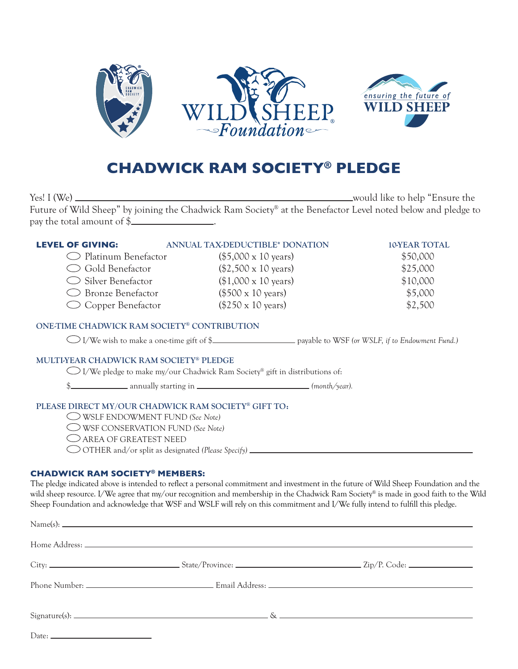

# **CHADWICK RAM SOCIETY® PLEDGE**

Yes! I (We) would like to help "Ensure the Future of Wild Sheep" by joining the Chadwick Ram Society® at the Benefactor Level noted below and pledge to pay the total amount of \$ .

| <b>LEVEL OF GIVING:</b> | ANNUAL TAX-DEDUCTIBLE* DONATION    | <b>10-YEAR TOTAL</b> |
|-------------------------|------------------------------------|----------------------|
| ◯ Platinum Benefactor   | $($5,000 \times 10 \text{ years})$ | \$50,000             |
| ◯ Gold Benefactor       | $($2,500 \times 10 \text{ years})$ | \$25,000             |
| Silver Benefactor       | $($1,000 \times 10 \text{ years})$ | \$10,000             |
| ◯ Bronze Benefactor     | $($500 \times 10 \text{ years})$   | \$5,000              |
| ◯ Copper Benefactor     | $($250 \times 10 \text{ years})$   | \$2,500              |
|                         |                                    |                      |

# ONE-TIME CHADWICK RAM SOCIETY® CONTRIBUTION

I/We wish to make a one-time gift of \$ payable to WSF *(or WSLF, if to Endowment Fund.)*

# MULTI-YEAR CHADWICK RAM SOCIETY® PLEDGE

 $\bigcirc$  I/We pledge to make my/our Chadwick Ram Society® gift in distributions of:

\$ annually starting in *(month/year).*

# PLEASE DIRECT MY/OUR CHADWICK RAM SOCIETY® GIFT TO:

- WSLF ENDOWMENT FUND *(See Note)*
- WSF CONSERVATION FUND *(See Note)*
- AREA OF GREATEST NEED
- OTHER and/or split as designated *(Please Specify)*

#### **CHADWICK RAM SOCIETY® MEMBERS:**

The pledge indicated above is intended to reflect a personal commitment and investment in the future of Wild Sheep Foundation and the wild sheep resource. I/We agree that my/our recognition and membership in the Chadwick Ram Society® is made in good faith to the Wild Sheep Foundation and acknowledge that WSF and WSLF will rely on this commitment and I/We fully intend to fulfill this pledge.

| Date: $\frac{1}{\sqrt{1-\frac{1}{2}}\sqrt{1-\frac{1}{2}}\sqrt{1-\frac{1}{2}}\sqrt{1-\frac{1}{2}}\sqrt{1-\frac{1}{2}}}}$ |  |  |
|-------------------------------------------------------------------------------------------------------------------------|--|--|